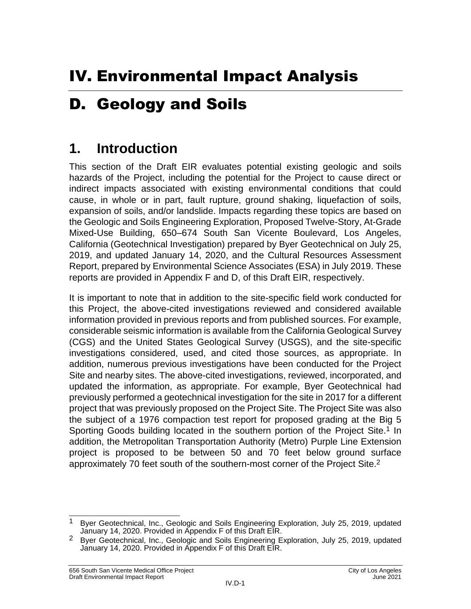# D. Geology and Soils

# **1. Introduction**

This section of the Draft EIR evaluates potential existing geologic and soils hazards of the Project, including the potential for the Project to cause direct or indirect impacts associated with existing environmental conditions that could cause, in whole or in part, fault rupture, ground shaking, liquefaction of soils, expansion of soils, and/or landslide. Impacts regarding these topics are based on the Geologic and Soils Engineering Exploration, Proposed Twelve-Story, At-Grade Mixed-Use Building, 650–674 South San Vicente Boulevard, Los Angeles, California (Geotechnical Investigation) prepared by Byer Geotechnical on July 25, 2019, and updated January 14, 2020, and the Cultural Resources Assessment Report, prepared by Environmental Science Associates (ESA) in July 2019. These reports are provided in Appendix F and D, of this Draft EIR, respectively.

It is important to note that in addition to the site-specific field work conducted for this Project, the above-cited investigations reviewed and considered available information provided in previous reports and from published sources. For example, considerable seismic information is available from the California Geological Survey (CGS) and the United States Geological Survey (USGS), and the site-specific investigations considered, used, and cited those sources, as appropriate. In addition, numerous previous investigations have been conducted for the Project Site and nearby sites. The above-cited investigations, reviewed, incorporated, and updated the information, as appropriate. For example, Byer Geotechnical had previously performed a geotechnical investigation for the site in 2017 for a different project that was previously proposed on the Project Site. The Project Site was also the subject of a 1976 compaction test report for proposed grading at the Big 5 Sporting Goods building located in the southern portion of the Project Site.<sup>1</sup> In addition, the Metropolitan Transportation Authority (Metro) Purple Line Extension project is proposed to be between 50 and 70 feet below ground surface approximately 70 feet south of the southern-most corner of the Project Site.2

 $\overline{\phantom{a}}$ <sup>1</sup> Byer Geotechnical, Inc., Geologic and Soils Engineering Exploration, July 25, 2019, updated January 14, 2020. Provided in Appendix F of this Draft EIR.

<sup>&</sup>lt;sup>2</sup> Byer Geotechnical, Inc., Geologic and Soils Engineering Exploration, July 25, 2019, updated January 14, 2020. Provided in Appendix F of this Draft EIR.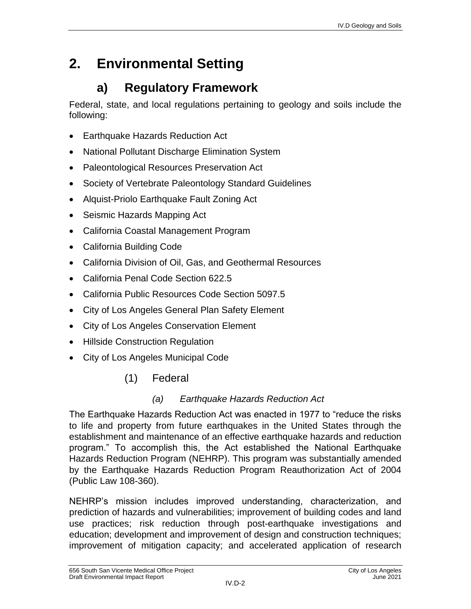# **2. Environmental Setting**

# **a) Regulatory Framework**

Federal, state, and local regulations pertaining to geology and soils include the following:

- Earthquake Hazards Reduction Act
- National Pollutant Discharge Elimination System
- Paleontological Resources Preservation Act
- Society of Vertebrate Paleontology Standard Guidelines
- Alquist-Priolo Earthquake Fault Zoning Act
- Seismic Hazards Mapping Act
- California Coastal Management Program
- California Building Code
- California Division of Oil, Gas, and Geothermal Resources
- California Penal Code Section 622.5
- California Public Resources Code Section 5097.5
- City of Los Angeles General Plan Safety Element
- City of Los Angeles Conservation Element
- Hillside Construction Regulation
- City of Los Angeles Municipal Code
	- (1) Federal

## *(a) Earthquake Hazards Reduction Act*

The Earthquake Hazards Reduction Act was enacted in 1977 to "reduce the risks to life and property from future earthquakes in the United States through the establishment and maintenance of an effective earthquake hazards and reduction program." To accomplish this, the Act established the National Earthquake Hazards Reduction Program (NEHRP). This program was substantially amended by the Earthquake Hazards Reduction Program Reauthorization Act of 2004 (Public Law 108-360).

NEHRP's mission includes improved understanding, characterization, and prediction of hazards and vulnerabilities; improvement of building codes and land use practices; risk reduction through post-earthquake investigations and education; development and improvement of design and construction techniques; improvement of mitigation capacity; and accelerated application of research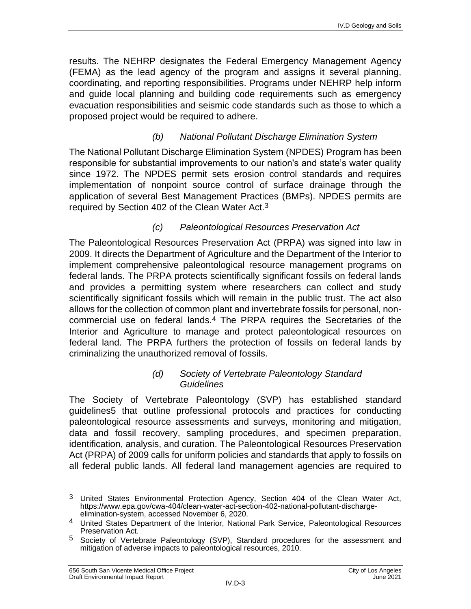results. The NEHRP designates the Federal Emergency Management Agency (FEMA) as the lead agency of the program and assigns it several planning, coordinating, and reporting responsibilities. Programs under NEHRP help inform and guide local planning and building code requirements such as emergency evacuation responsibilities and seismic code standards such as those to which a proposed project would be required to adhere.

### *(b) National Pollutant Discharge Elimination System*

The National Pollutant Discharge Elimination System (NPDES) Program has been responsible for substantial improvements to our nation's and state's water quality since 1972. The NPDES permit sets erosion control standards and requires implementation of nonpoint source control of surface drainage through the application of several Best Management Practices (BMPs). NPDES permits are required by Section 402 of the Clean Water Act.3

### *(c) Paleontological Resources Preservation Act*

The Paleontological Resources Preservation Act (PRPA) was signed into law in 2009. It directs the Department of Agriculture and the Department of the Interior to implement comprehensive paleontological resource management programs on federal lands. The PRPA protects scientifically significant fossils on federal lands and provides a permitting system where researchers can collect and study scientifically significant fossils which will remain in the public trust. The act also allows for the collection of common plant and invertebrate fossils for personal, noncommercial use on federal lands.4 The PRPA requires the Secretaries of the Interior and Agriculture to manage and protect paleontological resources on federal land. The PRPA furthers the protection of fossils on federal lands by criminalizing the unauthorized removal of fossils.

#### *(d) Society of Vertebrate Paleontology Standard Guidelines*

The Society of Vertebrate Paleontology (SVP) has established standard guidelines5 that outline professional protocols and practices for conducting paleontological resource assessments and surveys, monitoring and mitigation, data and fossil recovery, sampling procedures, and specimen preparation, identification, analysis, and curation. The Paleontological Resources Preservation Act (PRPA) of 2009 calls for uniform policies and standards that apply to fossils on all federal public lands. All federal land management agencies are required to

 $3<sup>1</sup>$ United States Environmental Protection Agency, Section 404 of the Clean Water Act, [https://www.epa.gov/cwa-404/clean-water-act-section-402-national-pollutant-discharge](https://www.epa.gov/cwa-404/clean-water-act-section-402-national-pollutant-discharge-elimination-system)[elimination-system,](https://www.epa.gov/cwa-404/clean-water-act-section-402-national-pollutant-discharge-elimination-system) accessed November 6, 2020.

<sup>4</sup> United States Department of the Interior, National Park Service, Paleontological Resources Preservation Act.

<sup>5</sup> Society of Vertebrate Paleontology (SVP), Standard procedures for the assessment and mitigation of adverse impacts to paleontological resources, 2010.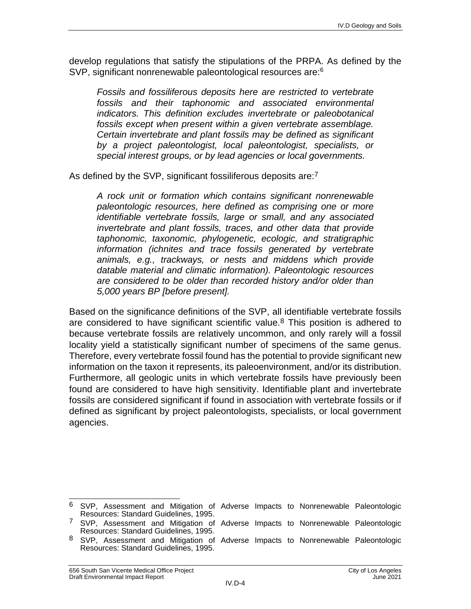develop regulations that satisfy the stipulations of the PRPA. As defined by the SVP, significant nonrenewable paleontological resources are:<sup>6</sup>

*Fossils and fossiliferous deposits here are restricted to vertebrate fossils and their taphonomic and associated environmental indicators. This definition excludes invertebrate or paleobotanical fossils except when present within a given vertebrate assemblage. Certain invertebrate and plant fossils may be defined as significant by a project paleontologist, local paleontologist, specialists, or special interest groups, or by lead agencies or local governments.*

As defined by the SVP, significant fossiliferous deposits are:<sup>7</sup>

*A rock unit or formation which contains significant nonrenewable paleontologic resources, here defined as comprising one or more identifiable vertebrate fossils, large or small, and any associated invertebrate and plant fossils, traces, and other data that provide taphonomic, taxonomic, phylogenetic, ecologic, and stratigraphic information (ichnites and trace fossils generated by vertebrate animals, e.g., trackways, or nests and middens which provide datable material and climatic information). Paleontologic resources are considered to be older than recorded history and/or older than 5,000 years BP [before present].*

Based on the significance definitions of the SVP, all identifiable vertebrate fossils are considered to have significant scientific value.<sup>8</sup> This position is adhered to because vertebrate fossils are relatively uncommon, and only rarely will a fossil locality yield a statistically significant number of specimens of the same genus. Therefore, every vertebrate fossil found has the potential to provide significant new information on the taxon it represents, its paleoenvironment, and/or its distribution. Furthermore, all geologic units in which vertebrate fossils have previously been found are considered to have high sensitivity. Identifiable plant and invertebrate fossils are considered significant if found in association with vertebrate fossils or if defined as significant by project paleontologists, specialists, or local government agencies.

 $\overline{\phantom{a}}$ <sup>6</sup> SVP, Assessment and Mitigation of Adverse Impacts to Nonrenewable Paleontologic Resources: Standard Guidelines, 1995.

<sup>7</sup> SVP, Assessment and Mitigation of Adverse Impacts to Nonrenewable Paleontologic Resources: Standard Guidelines, 1995.

<sup>8</sup> SVP, Assessment and Mitigation of Adverse Impacts to Nonrenewable Paleontologic Resources: Standard Guidelines, 1995.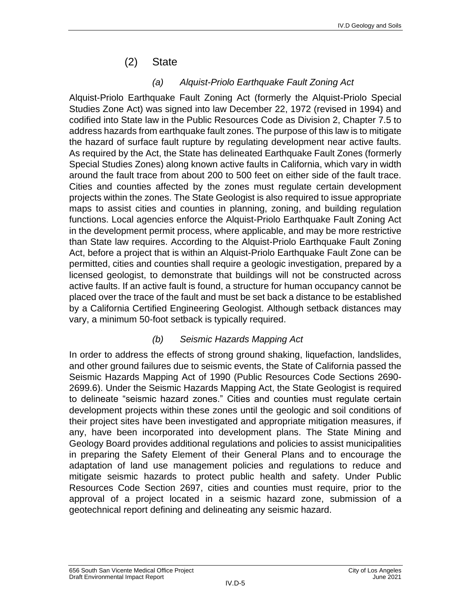## (2) State

### *(a) Alquist-Priolo Earthquake Fault Zoning Act*

Alquist-Priolo Earthquake Fault Zoning Act (formerly the Alquist-Priolo Special Studies Zone Act) was signed into law December 22, 1972 (revised in 1994) and codified into State law in the Public Resources Code as Division 2, Chapter 7.5 to address hazards from earthquake fault zones. The purpose of this law is to mitigate the hazard of surface fault rupture by regulating development near active faults. As required by the Act, the State has delineated Earthquake Fault Zones (formerly Special Studies Zones) along known active faults in California, which vary in width around the fault trace from about 200 to 500 feet on either side of the fault trace. Cities and counties affected by the zones must regulate certain development projects within the zones. The State Geologist is also required to issue appropriate maps to assist cities and counties in planning, zoning, and building regulation functions. Local agencies enforce the Alquist-Priolo Earthquake Fault Zoning Act in the development permit process, where applicable, and may be more restrictive than State law requires. According to the Alquist-Priolo Earthquake Fault Zoning Act, before a project that is within an Alquist-Priolo Earthquake Fault Zone can be permitted, cities and counties shall require a geologic investigation, prepared by a licensed geologist, to demonstrate that buildings will not be constructed across active faults. If an active fault is found, a structure for human occupancy cannot be placed over the trace of the fault and must be set back a distance to be established by a California Certified Engineering Geologist. Although setback distances may vary, a minimum 50-foot setback is typically required.

### *(b) Seismic Hazards Mapping Act*

In order to address the effects of strong ground shaking, liquefaction, landslides, and other ground failures due to seismic events, the State of California passed the Seismic Hazards Mapping Act of 1990 (Public Resources Code Sections 2690- 2699.6). Under the Seismic Hazards Mapping Act, the State Geologist is required to delineate "seismic hazard zones." Cities and counties must regulate certain development projects within these zones until the geologic and soil conditions of their project sites have been investigated and appropriate mitigation measures, if any, have been incorporated into development plans. The State Mining and Geology Board provides additional regulations and policies to assist municipalities in preparing the Safety Element of their General Plans and to encourage the adaptation of land use management policies and regulations to reduce and mitigate seismic hazards to protect public health and safety. Under Public Resources Code Section 2697, cities and counties must require, prior to the approval of a project located in a seismic hazard zone, submission of a geotechnical report defining and delineating any seismic hazard.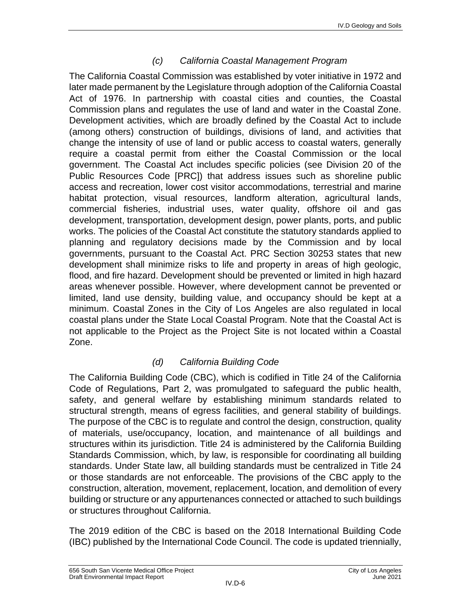### *(c) California Coastal Management Program*

The California Coastal Commission was established by voter initiative in 1972 and later made permanent by the Legislature through adoption of the [California Coastal](https://www.coastal.ca.gov/ccatc.html)  [Act of 1976.](https://www.coastal.ca.gov/ccatc.html) In partnership with coastal cities and counties, the Coastal Commission plans and regulates the use of land and water in the Coastal Zone. Development activities, which are broadly defined by the Coastal Act to include (among others) construction of buildings, divisions of land, and activities that change the intensity of use of land or public access to coastal waters, generally require a coastal permit from either the Coastal Commission or the local government. The [Coastal Act](https://www.coastal.ca.gov/ccatc.html) includes specific policies (see Division 20 of the Public Resources Code [PRC]) that address issues such as shoreline public access and recreation, lower cost visitor accommodations, terrestrial and marine habitat protection, visual resources, landform alteration, agricultural lands, commercial fisheries, industrial uses, water quality, offshore oil and gas development, transportation, development design, power plants, ports, and public works. The policies of the Coastal Act constitute the statutory standards applied to planning and regulatory decisions made by the Commission and by local governments, pursuant to the Coastal Act. PRC Section 30253 states that new development shall minimize risks to life and property in areas of high geologic, flood, and fire hazard. Development should be prevented or limited in high hazard areas whenever possible. However, where development cannot be prevented or limited, land use density, building value, and occupancy should be kept at a minimum. Coastal Zones in the City of Los Angeles are also regulated in local coastal plans under the State Local Coastal Program. Note that the [Coastal Act](https://www.coastal.ca.gov/ccatc.html) is not applicable to the Project as the Project Site is not located within a Coastal Zone.

### *(d) California Building Code*

The California Building Code (CBC), which is codified in Title 24 of the California Code of Regulations, Part 2, was promulgated to safeguard the public health, safety, and general welfare by establishing minimum standards related to structural strength, means of egress facilities, and general stability of buildings. The purpose of the CBC is to regulate and control the design, construction, quality of materials, use/occupancy, location, and maintenance of all buildings and structures within its jurisdiction. Title 24 is administered by the California Building Standards Commission, which, by law, is responsible for coordinating all building standards. Under State law, all building standards must be centralized in Title 24 or those standards are not enforceable. The provisions of the CBC apply to the construction, alteration, movement, replacement, location, and demolition of every building or structure or any appurtenances connected or attached to such buildings or structures throughout California.

The 2019 edition of the CBC is based on the 2018 International Building Code (IBC) published by the International Code Council. The code is updated triennially,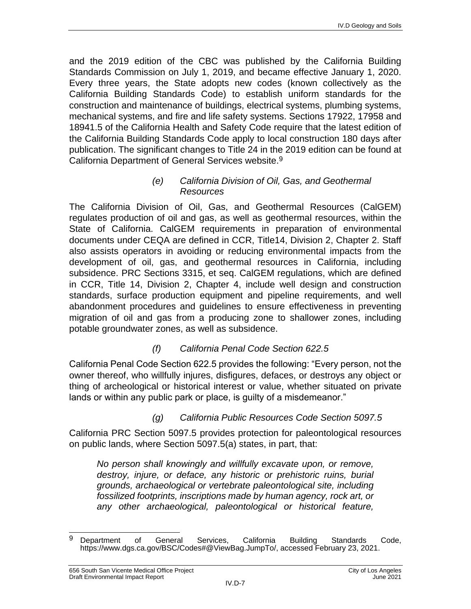and the 2019 edition of the CBC was published by the California Building Standards Commission on July 1, 2019, and became effective January 1, 2020. Every three years, the State adopts new codes (known collectively as the California Building Standards Code) to establish uniform standards for the construction and maintenance of buildings, electrical systems, plumbing systems, mechanical systems, and fire and life safety systems. Sections 17922, 17958 and 18941.5 of the California Health and Safety Code require that the latest edition of the California Building Standards Code apply to local construction 180 days after publication. The significant changes to Title 24 in the 2019 edition can be found at California Department of General Services website.9

#### *(e) California Division of Oil, Gas, and Geothermal Resources*

The California Division of Oil, Gas, and Geothermal Resources (CalGEM) regulates production of oil and gas, as well as geothermal resources, within the State of California. CalGEM requirements in preparation of environmental documents under CEQA are defined in CCR, Title14, Division 2, Chapter 2. Staff also assists operators in avoiding or reducing environmental impacts from the development of oil, gas, and geothermal resources in California, including subsidence. PRC Sections 3315, et seq. CalGEM regulations, which are defined in CCR, Title 14, Division 2, Chapter 4, include well design and construction standards, surface production equipment and pipeline requirements, and well abandonment procedures and guidelines to ensure effectiveness in preventing migration of oil and gas from a producing zone to shallower zones, including potable groundwater zones, as well as subsidence.

### *(f) California Penal Code Section 622.5*

California Penal Code Section 622.5 provides the following: "Every person, not the owner thereof, who willfully injures, disfigures, defaces, or destroys any object or thing of archeological or historical interest or value, whether situated on private lands or within any public park or place, is guilty of a misdemeanor."

### *(g) California Public Resources Code Section 5097.5*

California PRC Section 5097.5 provides protection for paleontological resources on public lands, where Section 5097.5(a) states, in part, that:

*No person shall knowingly and willfully excavate upon, or remove, destroy, injure, or deface, any historic or prehistoric ruins, burial grounds, archaeological or vertebrate paleontological site, including fossilized footprints, inscriptions made by human agency, rock art, or any other archaeological, paleontological or historical feature,* 

<sup>9</sup> <sup>9</sup> Department of General Services, California Building Standards Code, [https://www.dgs.ca.gov/BSC/Codes#@ViewBag.JumpTo/,](https://www.dgs.ca.gov/BSC/Codes#@ViewBag.JumpTo) accessed February 23, 2021.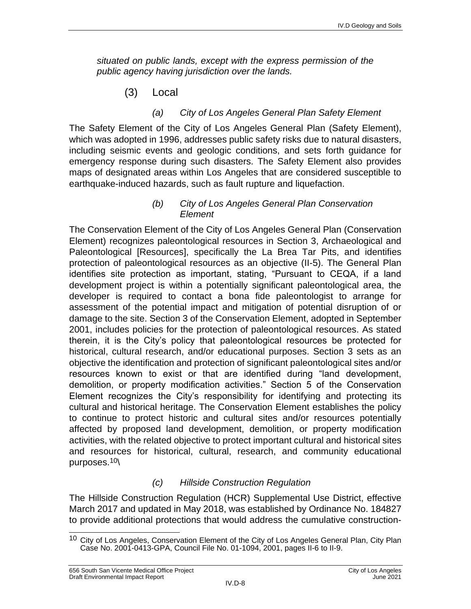*situated on public lands, except with the express permission of the public agency having jurisdiction over the lands.*

(3) Local

#### *(a) City of Los Angeles General Plan Safety Element*

The Safety Element of the City of Los Angeles General Plan (Safety Element), which was adopted in 1996, addresses public safety risks due to natural disasters, including seismic events and geologic conditions, and sets forth guidance for emergency response during such disasters. The Safety Element also provides maps of designated areas within Los Angeles that are considered susceptible to earthquake-induced hazards, such as fault rupture and liquefaction.

#### *(b) City of Los Angeles General Plan Conservation Element*

The Conservation Element of the City of Los Angeles General Plan (Conservation Element) recognizes paleontological resources in Section 3, Archaeological and Paleontological [Resources], specifically the La Brea Tar Pits, and identifies protection of paleontological resources as an objective (II-5). The General Plan identifies site protection as important, stating, "Pursuant to CEQA, if a land development project is within a potentially significant paleontological area, the developer is required to contact a bona fide paleontologist to arrange for assessment of the potential impact and mitigation of potential disruption of or damage to the site. Section 3 of the Conservation Element, adopted in September 2001, includes policies for the protection of paleontological resources. As stated therein, it is the City's policy that paleontological resources be protected for historical, cultural research, and/or educational purposes. Section 3 sets as an objective the identification and protection of significant paleontological sites and/or resources known to exist or that are identified during "land development, demolition, or property modification activities." Section 5 of the Conservation Element recognizes the City's responsibility for identifying and protecting its cultural and historical heritage. The Conservation Element establishes the policy to continue to protect historic and cultural sites and/or resources potentially affected by proposed land development, demolition, or property modification activities, with the related objective to protect important cultural and historical sites and resources for historical, cultural, research, and community educational purposes.10\

### *(c) Hillside Construction Regulation*

The Hillside Construction Regulation (HCR) Supplemental Use District, effective March 2017 and updated in May 2018, was established by Ordinance No. 184827 to provide additional protections that would address the cumulative construction-

 $\overline{\phantom{a}}$ <sup>10</sup> City of Los Angeles, Conservation Element of the City of Los Angeles General Plan, City Plan Case No. 2001-0413-GPA, Council File No. 01-1094, 2001, pages II-6 to II-9.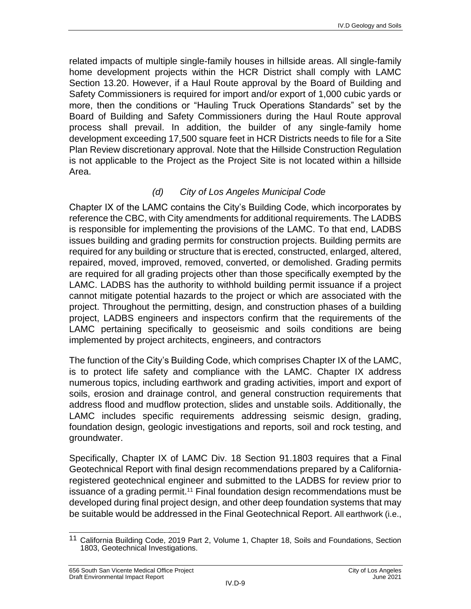related impacts of multiple single-family houses in hillside areas. All single-family home development projects within the HCR District shall comply with LAMC Section 13.20. However, if a Haul Route approval by the Board of Building and Safety Commissioners is required for import and/or export of 1,000 cubic yards or more, then the conditions or "Hauling Truck Operations Standards" set by the Board of Building and Safety Commissioners during the Haul Route approval process shall prevail. In addition, the builder of any single-family home development exceeding 17,500 square feet in HCR Districts needs to file for a Site Plan Review discretionary approval. Note that the [Hillside](https://www.coastal.ca.gov/ccatc.html) Construction Regulation is not applicable to the Project as the Project Site is not located within a hillside Area.

## *(d) City of Los Angeles Municipal Code*

Chapter IX of the LAMC contains the City's Building Code, which incorporates by reference the CBC, with City amendments for additional requirements. The LADBS is responsible for implementing the provisions of the LAMC. To that end, LADBS issues building and grading permits for construction projects. Building permits are required for any building or structure that is erected, constructed, enlarged, altered, repaired, moved, improved, removed, converted, or demolished. Grading permits are required for all grading projects other than those specifically exempted by the LAMC. LADBS has the authority to withhold building permit issuance if a project cannot mitigate potential hazards to the project or which are associated with the project. Throughout the permitting, design, and construction phases of a building project, LADBS engineers and inspectors confirm that the requirements of the LAMC pertaining specifically to geoseismic and soils conditions are being implemented by project architects, engineers, and contractors

The function of the City's Building Code, which comprises Chapter IX of the LAMC, is to protect life safety and compliance with the LAMC. Chapter IX address numerous topics, including earthwork and grading activities, import and export of soils, erosion and drainage control, and general construction requirements that address flood and mudflow protection, slides and unstable soils. Additionally, the LAMC includes specific requirements addressing seismic design, grading, foundation design, geologic investigations and reports, soil and rock testing, and groundwater.

Specifically, Chapter IX of LAMC Div. 18 Section 91.1803 requires that a Final Geotechnical Report with final design recommendations prepared by a Californiaregistered geotechnical engineer and submitted to the LADBS for review prior to issuance of a grading permit.<sup>11</sup> Final foundation design recommendations must be developed during final project design, and other deep foundation systems that may be suitable would be addressed in the Final Geotechnical Report. All earthwork (i.e.,

 $\overline{\phantom{a}}$ <sup>11</sup> California Building Code, 2019 Part 2, Volume 1, Chapter 18, Soils and Foundations, Section 1803, Geotechnical Investigations.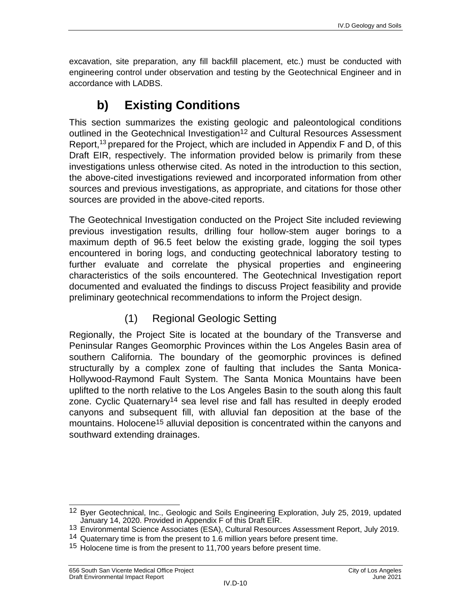excavation, site preparation, any fill backfill placement, etc.) must be conducted with engineering control under observation and testing by the Geotechnical Engineer and in accordance with LADBS.

# **b) Existing Conditions**

This section summarizes the existing geologic and paleontological conditions outlined in the Geotechnical Investigation<sup>12</sup> and Cultural Resources Assessment Report,<sup>13</sup> prepared for the Project, which are included in Appendix F and D, of this Draft EIR, respectively. The information provided below is primarily from these investigations unless otherwise cited. As noted in the introduction to this section, the above-cited investigations reviewed and incorporated information from other sources and previous investigations, as appropriate, and citations for those other sources are provided in the above-cited reports.

The Geotechnical Investigation conducted on the Project Site included reviewing previous investigation results, drilling four hollow-stem auger borings to a maximum depth of 96.5 feet below the existing grade, logging the soil types encountered in boring logs, and conducting geotechnical laboratory testing to further evaluate and correlate the physical properties and engineering characteristics of the soils encountered. The Geotechnical Investigation report documented and evaluated the findings to discuss Project feasibility and provide preliminary geotechnical recommendations to inform the Project design.

# (1) Regional Geologic Setting

Regionally, the Project Site is located at the boundary of the Transverse and Peninsular Ranges Geomorphic Provinces within the Los Angeles Basin area of southern California. The boundary of the geomorphic provinces is defined structurally by a complex zone of faulting that includes the Santa Monica-Hollywood-Raymond Fault System. The Santa Monica Mountains have been uplifted to the north relative to the Los Angeles Basin to the south along this fault zone. Cyclic Quaternary<sup>14</sup> sea level rise and fall has resulted in deeply eroded canyons and subsequent fill, with alluvial fan deposition at the base of the mountains. Holocene15 alluvial deposition is concentrated within the canyons and southward extending drainages.

 $\overline{\phantom{a}}$ <sup>12</sup> Byer Geotechnical, Inc., Geologic and Soils Engineering Exploration, July 25, 2019, updated January 14, 2020. Provided in Appendix F of this Draft EIR.

<sup>13</sup> Environmental Science Associates (ESA), Cultural Resources Assessment Report, July 2019.

<sup>&</sup>lt;sup>14</sup> Quaternary time is from the present to 1.6 million years before present time.

<sup>&</sup>lt;sup>15</sup> Holocene time is from the present to 11,700 years before present time.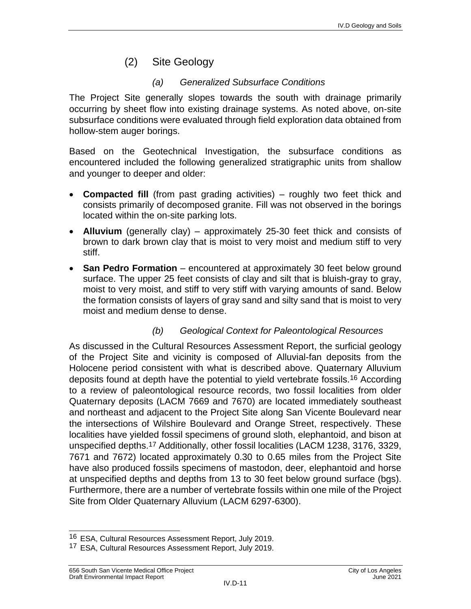## (2) Site Geology

### *(a) Generalized Subsurface Conditions*

The Project Site generally slopes towards the south with drainage primarily occurring by sheet flow into existing drainage systems. As noted above, on-site subsurface conditions were evaluated through field exploration data obtained from hollow-stem auger borings.

Based on the Geotechnical Investigation, the subsurface conditions as encountered included the following generalized stratigraphic units from shallow and younger to deeper and older:

- **Compacted fill** (from past grading activities) roughly two feet thick and consists primarily of decomposed granite. Fill was not observed in the borings located within the on-site parking lots.
- **Alluvium** (generally clay) approximately 25-30 feet thick and consists of brown to dark brown clay that is moist to very moist and medium stiff to very stiff.
- **San Pedro Formation** encountered at approximately 30 feet below ground surface. The upper 25 feet consists of clay and silt that is bluish-gray to gray, moist to very moist, and stiff to very stiff with varying amounts of sand. Below the formation consists of layers of gray sand and silty sand that is moist to very moist and medium dense to dense.

#### *(b) Geological Context for Paleontological Resources*

As discussed in the Cultural Resources Assessment Report, the surficial geology of the Project Site and vicinity is composed of Alluvial-fan deposits from the Holocene period consistent with what is described above. Quaternary Alluvium deposits found at depth have the potential to yield vertebrate fossils.16 According to a review of paleontological resource records, two fossil localities from older Quaternary deposits (LACM 7669 and 7670) are located immediately southeast and northeast and adjacent to the Project Site along San Vicente Boulevard near the intersections of Wilshire Boulevard and Orange Street, respectively. These localities have yielded fossil specimens of ground sloth, elephantoid, and bison at unspecified depths.17 Additionally, other fossil localities (LACM 1238, 3176, 3329, 7671 and 7672) located approximately 0.30 to 0.65 miles from the Project Site have also produced fossils specimens of mastodon, deer, elephantoid and horse at unspecified depths and depths from 13 to 30 feet below ground surface (bgs). Furthermore, there are a number of vertebrate fossils within one mile of the Project Site from Older Quaternary Alluvium (LACM 6297-6300).

 $\overline{\phantom{a}}$ 16 ESA, Cultural Resources Assessment Report, July 2019.

<sup>17</sup> ESA, Cultural Resources Assessment Report, July 2019.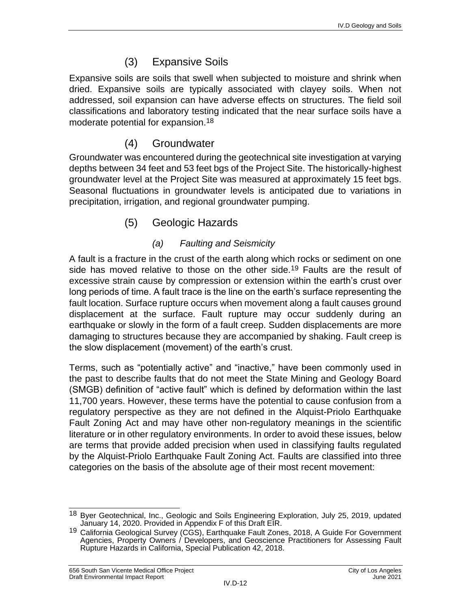## (3) Expansive Soils

Expansive soils are soils that swell when subjected to moisture and shrink when dried. Expansive soils are typically associated with clayey soils. When not addressed, soil expansion can have adverse effects on structures. The field soil classifications and laboratory testing indicated that the near surface soils have a moderate potential for expansion.18

# (4) Groundwater

Groundwater was encountered during the geotechnical site investigation at varying depths between 34 feet and 53 feet bgs of the Project Site. The historically-highest groundwater level at the Project Site was measured at approximately 15 feet bgs. Seasonal fluctuations in groundwater levels is anticipated due to variations in precipitation, irrigation, and regional groundwater pumping.

## (5) Geologic Hazards

## *(a) Faulting and Seismicity*

A fault is a fracture in the crust of the earth along which rocks or sediment on one side has moved relative to those on the other side.<sup>19</sup> Faults are the result of excessive strain cause by compression or extension within the earth's crust over long periods of time. A fault trace is the line on the earth's surface representing the fault location. Surface rupture occurs when movement along a fault causes ground displacement at the surface. Fault rupture may occur suddenly during an earthquake or slowly in the form of a fault creep. Sudden displacements are more damaging to structures because they are accompanied by shaking. Fault creep is the slow displacement (movement) of the earth's crust.

Terms, such as "potentially active" and "inactive," have been commonly used in the past to describe faults that do not meet the State Mining and Geology Board (SMGB) definition of "active fault" which is defined by deformation within the last 11,700 years. However, these terms have the potential to cause confusion from a regulatory perspective as they are not defined in the Alquist-Priolo Earthquake Fault Zoning Act and may have other non-regulatory meanings in the scientific literature or in other regulatory environments. In order to avoid these issues, below are terms that provide added precision when used in classifying faults regulated by the Alquist-Priolo Earthquake Fault Zoning Act. Faults are classified into three categories on the basis of the absolute age of their most recent movement:

 $\overline{\phantom{a}}$ <sup>18</sup> Byer Geotechnical, Inc., Geologic and Soils Engineering Exploration, July 25, 2019, updated January 14, 2020. Provided in Appendix F of this Draft EIR.

<sup>&</sup>lt;sup>19</sup> California Geological Survey (CGS), Earthquake Fault Zones, 2018, A Guide For Government Agencies, Property Owners / Developers, and Geoscience Practitioners for Assessing Fault Rupture Hazards in California, Special Publication 42, 2018.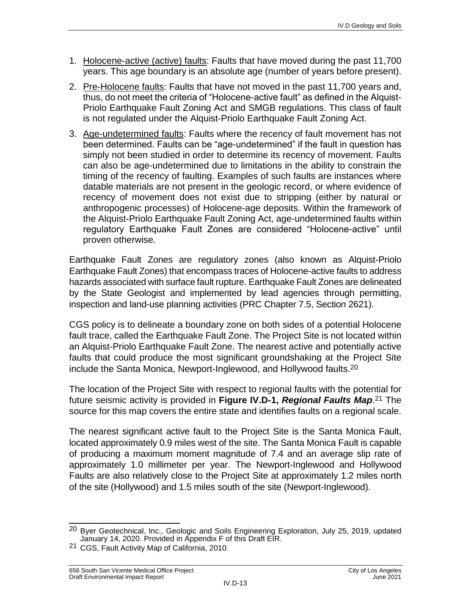- 1. Holocene-active (active) faults: Faults that have moved during the past 11,700 years. This age boundary is an absolute age (number of years before present).
- 2. Pre-Holocene faults: Faults that have not moved in the past 11,700 years and, thus, do not meet the criteria of "Holocene-active fault" as defined in the Alquist-Priolo Earthquake Fault Zoning Act and SMGB regulations. This class of fault is not regulated under the Alquist-Priolo Earthquake Fault Zoning Act.
- 3. Age-undetermined faults: Faults where the recency of fault movement has not been determined. Faults can be "age-undetermined" if the fault in question has simply not been studied in order to determine its recency of movement. Faults can also be age-undetermined due to limitations in the ability to constrain the timing of the recency of faulting. Examples of such faults are instances where datable materials are not present in the geologic record, or where evidence of recency of movement does not exist due to stripping (either by natural or anthropogenic processes) of Holocene-age deposits. Within the framework of the Alquist-Priolo Earthquake Fault Zoning Act, age-undetermined faults within regulatory Earthquake Fault Zones are considered "Holocene-active" until proven otherwise.

Earthquake Fault Zones are regulatory zones (also known as Alquist-Priolo Earthquake Fault Zones) that encompass traces of Holocene-active faults to address hazards associated with surface fault rupture. Earthquake Fault Zones are delineated by the State Geologist and implemented by lead agencies through permitting, inspection and land-use planning activities (PRC Chapter 7.5, Section 2621).

CGS policy is to delineate a boundary zone on both sides of a potential Holocene fault trace, called the Earthquake Fault Zone. The Project Site is not located within an Alquist-Priolo Earthquake Fault Zone. The nearest active and potentially active faults that could produce the most significant groundshaking at the Project Site include the Santa Monica, Newport-Inglewood, and Hollywood faults.20

The location of the Project Site with respect to regional faults with the potential for future seismic activity is provided in **Figure IV.D-1,** *Regional Faults Map*. 21 The source for this map covers the entire state and identifies faults on a regional scale.

The nearest significant active fault to the Project Site is the Santa Monica Fault, located approximately 0.9 miles west of the site. The Santa Monica Fault is capable of producing a maximum moment magnitude of 7.4 and an average slip rate of approximately 1.0 millimeter per year. The Newport-Inglewood and Hollywood Faults are also relatively close to the Project Site at approximately 1.2 miles north of the site (Hollywood) and 1.5 miles south of the site (Newport-Inglewood).

 $\overline{\phantom{a}}$ <sup>20</sup> Byer Geotechnical, Inc., Geologic and Soils Engineering Exploration, July 25, 2019, updated January 14, 2020. Provided in Appendix F of this Draft EIR.

<sup>21</sup> CGS, Fault Activity Map of California, 2010.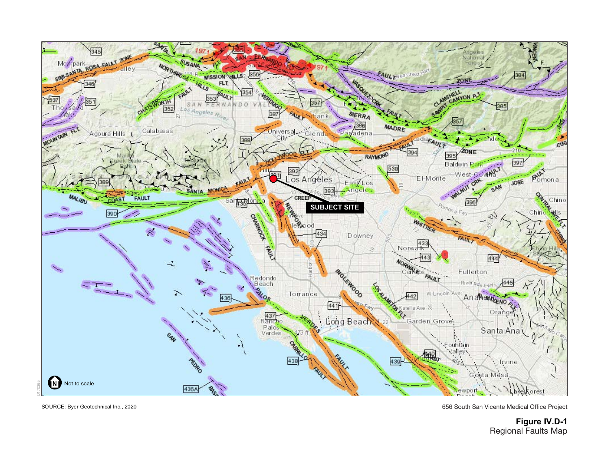

SOURCE: Byer Geotechnical Inc., 2020

656 South San Vicente Medical Office Project

**Figure IV.D-1** Regional Faults Map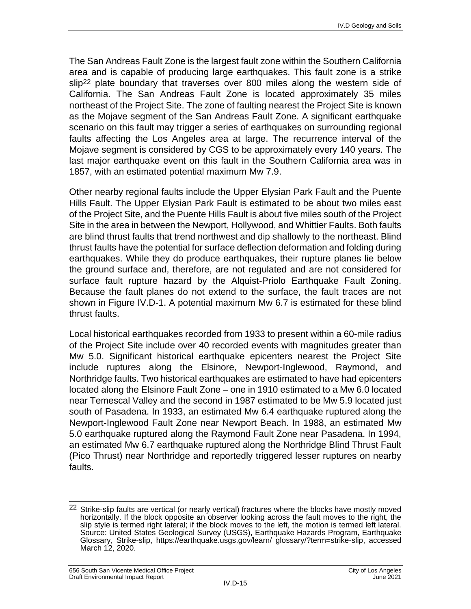The San Andreas Fault Zone is the largest fault zone within the Southern California area and is capable of producing large earthquakes. This fault zone is a strike slip<sup>22</sup> plate boundary that traverses over 800 miles along the western side of California. The San Andreas Fault Zone is located approximately 35 miles northeast of the Project Site. The zone of faulting nearest the Project Site is known as the Mojave segment of the San Andreas Fault Zone. A significant earthquake scenario on this fault may trigger a series of earthquakes on surrounding regional faults affecting the Los Angeles area at large. The recurrence interval of the Mojave segment is considered by CGS to be approximately every 140 years. The last major earthquake event on this fault in the Southern California area was in 1857, with an estimated potential maximum Mw 7.9.

Other nearby regional faults include the Upper Elysian Park Fault and the Puente Hills Fault. The Upper Elysian Park Fault is estimated to be about two miles east of the Project Site, and the Puente Hills Fault is about five miles south of the Project Site in the area in between the Newport, Hollywood, and Whittier Faults. Both faults are blind thrust faults that trend northwest and dip shallowly to the northeast. Blind thrust faults have the potential for surface deflection deformation and folding during earthquakes. While they do produce earthquakes, their rupture planes lie below the ground surface and, therefore, are not regulated and are not considered for surface fault rupture hazard by the Alquist-Priolo Earthquake Fault Zoning. Because the fault planes do not extend to the surface, the fault traces are not shown in Figure IV.D-1. A potential maximum Mw 6.7 is estimated for these blind thrust faults.

Local historical earthquakes recorded from 1933 to present within a 60-mile radius of the Project Site include over 40 recorded events with magnitudes greater than Mw 5.0. Significant historical earthquake epicenters nearest the Project Site include ruptures along the Elsinore, Newport-Inglewood, Raymond, and Northridge faults. Two historical earthquakes are estimated to have had epicenters located along the Elsinore Fault Zone – one in 1910 estimated to a Mw 6.0 located near Temescal Valley and the second in 1987 estimated to be Mw 5.9 located just south of Pasadena. In 1933, an estimated Mw 6.4 earthquake ruptured along the Newport-Inglewood Fault Zone near Newport Beach. In 1988, an estimated Mw 5.0 earthquake ruptured along the Raymond Fault Zone near Pasadena. In 1994, an estimated Mw 6.7 earthquake ruptured along the Northridge Blind Thrust Fault (Pico Thrust) near Northridge and reportedly triggered lesser ruptures on nearby faults.

 $\overline{\phantom{a}}$  $22$  Strike-slip faults are vertical (or nearly vertical) fractures where the blocks have mostly moved horizontally. If the block opposite an observer looking across the fault moves to the right, the slip style is termed right lateral; if the block moves to the left, the motion is termed left lateral. Source: United States Geological Survey (USGS), Earthquake Hazards Program, Earthquake Glossary, Strike-slip,<https://earthquake.usgs.gov/learn/> glossary/?term=strike-slip, accessed March 12, 2020.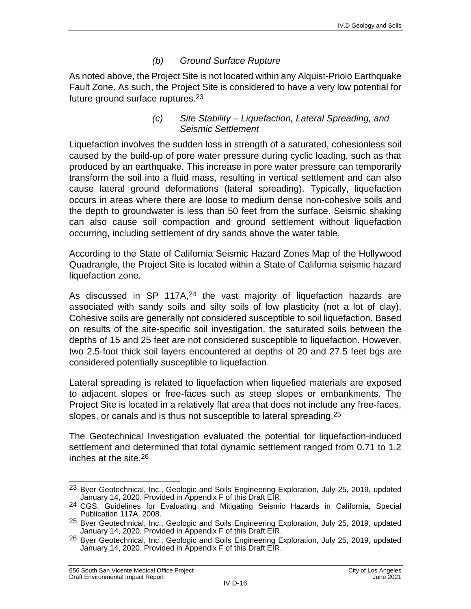#### *(b) Ground Surface Rupture*

As noted above, the Project Site is not located within any Alquist-Priolo Earthquake Fault Zone. As such, the Project Site is considered to have a very low potential for future ground surface ruptures.23

#### *(c) Site Stability – Liquefaction, Lateral Spreading, and Seismic Settlement*

Liquefaction involves the sudden loss in strength of a saturated, cohesionless soil caused by the build-up of pore water pressure during cyclic loading, such as that produced by an earthquake. This increase in pore water pressure can temporarily transform the soil into a fluid mass, resulting in vertical settlement and can also cause lateral ground deformations (lateral spreading). Typically, liquefaction occurs in areas where there are loose to medium dense non-cohesive soils and the depth to groundwater is less than 50 feet from the surface. Seismic shaking can also cause soil compaction and ground settlement without liquefaction occurring, including settlement of dry sands above the water table.

According to the State of California Seismic Hazard Zones Map of the Hollywood Quadrangle, the Project Site is located within a State of California seismic hazard liquefaction zone.

As discussed in SP 117A,<sup>24</sup> the vast majority of liquefaction hazards are associated with sandy soils and silty soils of low plasticity (not a lot of clay). Cohesive soils are generally not considered susceptible to soil liquefaction. Based on results of the site-specific soil investigation, the saturated soils between the depths of 15 and 25 feet are not considered susceptible to liquefaction. However, two 2.5-foot thick soil layers encountered at depths of 20 and 27.5 feet bgs are considered potentially susceptible to liquefaction.

Lateral spreading is related to liquefaction when liquefied materials are exposed to adjacent slopes or free-faces such as steep slopes or embankments. The Project Site is located in a relatively flat area that does not include any free-faces, slopes, or canals and is thus not susceptible to lateral spreading.25

The Geotechnical Investigation evaluated the potential for liquefaction-induced settlement and determined that total dynamic settlement ranged from 0.71 to 1.2 inches at the site. 26

 $\overline{\phantom{a}}$ <sup>23</sup> Byer Geotechnical, Inc., Geologic and Soils Engineering Exploration, July 25, 2019, updated January 14, 2020. Provided in Appendix F of this Draft EIR.

<sup>24</sup> CGS, Guidelines for Evaluating and Mitigating Seismic Hazards in California, Special Publication 117A, 2008.

<sup>&</sup>lt;sup>25</sup> Byer Geotechnical, Inc., Geologic and Soils Engineering Exploration, July 25, 2019, updated January 14, 2020. Provided in Appendix F of this Draft EIR.

<sup>26</sup> Byer Geotechnical, Inc., Geologic and Soils Engineering Exploration, July 25, 2019, updated January 14, 2020. Provided in Appendix F of this Draft EIR.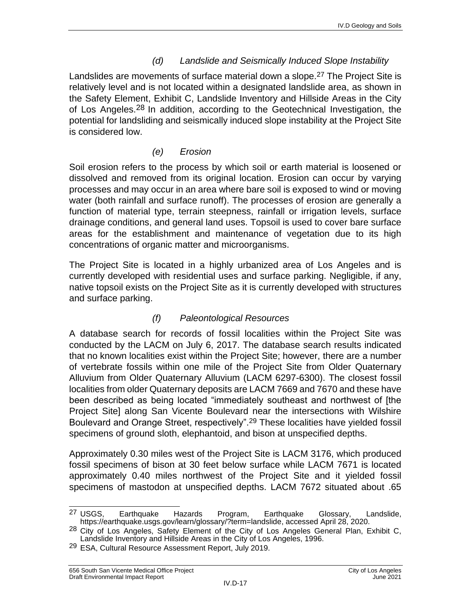### *(d) Landslide and Seismically Induced Slope Instability*

Landslides are movements of surface material down a slope.<sup>27</sup> The Project Site is relatively level and is not located within a designated landslide area, as shown in the Safety Element, Exhibit C, Landslide Inventory and Hillside Areas in the City of Los Angeles.28 In addition, according to the Geotechnical Investigation, the potential for landsliding and seismically induced slope instability at the Project Site is considered low.

#### *(e) Erosion*

Soil erosion refers to the process by which soil or earth material is loosened or dissolved and removed from its original location. Erosion can occur by varying processes and may occur in an area where bare soil is exposed to wind or moving water (both rainfall and surface runoff). The processes of erosion are generally a function of material type, terrain steepness, rainfall or irrigation levels, surface drainage conditions, and general land uses. Topsoil is used to cover bare surface areas for the establishment and maintenance of vegetation due to its high concentrations of organic matter and microorganisms.

The Project Site is located in a highly urbanized area of Los Angeles and is currently developed with residential uses and surface parking. Negligible, if any, native topsoil exists on the Project Site as it is currently developed with structures and surface parking.

#### *(f) Paleontological Resources*

A database search for records of fossil localities within the Project Site was conducted by the LACM on July 6, 2017. The database search results indicated that no known localities exist within the Project Site; however, there are a number of vertebrate fossils within one mile of the Project Site from Older Quaternary Alluvium from Older Quaternary Alluvium (LACM 6297-6300). The closest fossil localities from older Quaternary deposits are LACM 7669 and 7670 and these have been described as being located "immediately southeast and northwest of [the Project Site] along San Vicente Boulevard near the intersections with Wilshire Boulevard and Orange Street, respectively".29 These localities have yielded fossil specimens of ground sloth, elephantoid, and bison at unspecified depths.

Approximately 0.30 miles west of the Project Site is LACM 3176, which produced fossil specimens of bison at 30 feet below surface while LACM 7671 is located approximately 0.40 miles northwest of the Project Site and it yielded fossil specimens of mastodon at unspecified depths. LACM 7672 situated about .65

<sup>&</sup>lt;sup>27</sup> USGS, <sup>27</sup> USGS, Earthquake Hazards Program, Earthquake Glossary, Landslide, [https://earthquake.usgs.gov/learn/glossary/?term=landslide,](https://earthquake.usgs.gov/learn/glossary/?term=landslide) accessed April 28, 2020.

<sup>&</sup>lt;sup>28</sup> City of Los Angeles, Safety Element of the City of Los Angeles General Plan, Exhibit C, Landslide Inventory and Hillside Areas in the City of Los Angeles, 1996.

<sup>&</sup>lt;sup>29</sup> ESA, Cultural Resource Assessment Report, July 2019.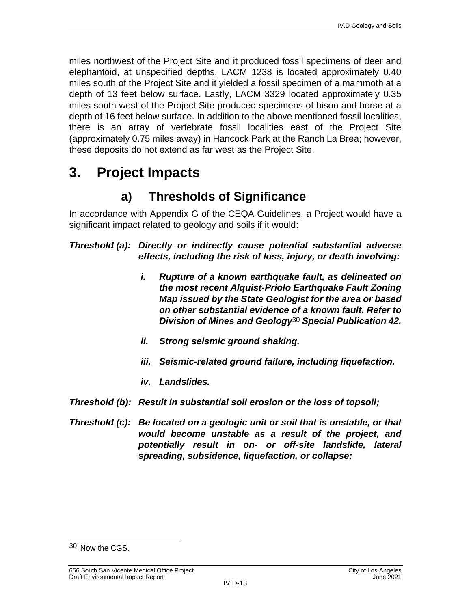miles northwest of the Project Site and it produced fossil specimens of deer and elephantoid, at unspecified depths. LACM 1238 is located approximately 0.40 miles south of the Project Site and it yielded a fossil specimen of a mammoth at a depth of 13 feet below surface. Lastly, LACM 3329 located approximately 0.35 miles south west of the Project Site produced specimens of bison and horse at a depth of 16 feet below surface. In addition to the above mentioned fossil localities, there is an array of vertebrate fossil localities east of the Project Site (approximately 0.75 miles away) in Hancock Park at the Ranch La Brea; however, these deposits do not extend as far west as the Project Site.

# **3. Project Impacts**

# **a) Thresholds of Significance**

In accordance with Appendix G of the CEQA Guidelines, a Project would have a significant impact related to geology and soils if it would:

*Threshold (a): Directly or indirectly cause potential substantial adverse effects, including the risk of loss, injury, or death involving:*

- *i. Rupture of a known earthquake fault, as delineated on the most recent Alquist-Priolo Earthquake Fault Zoning Map issued by the State Geologist for the area or based on other substantial evidence of a known fault. Refer to Division of Mines and Geology*30 *Special Publication 42.*
- *ii. Strong seismic ground shaking.*
- *iii. Seismic-related ground failure, including liquefaction.*
- *iv. Landslides.*
- *Threshold (b): Result in substantial soil erosion or the loss of topsoil;*
- *Threshold (c): Be located on a geologic unit or soil that is unstable, or that would become unstable as a result of the project, and potentially result in on- or off-site landslide, lateral spreading, subsidence, liquefaction, or collapse;*

 $\overline{\phantom{a}}$ 30 Now the CGS.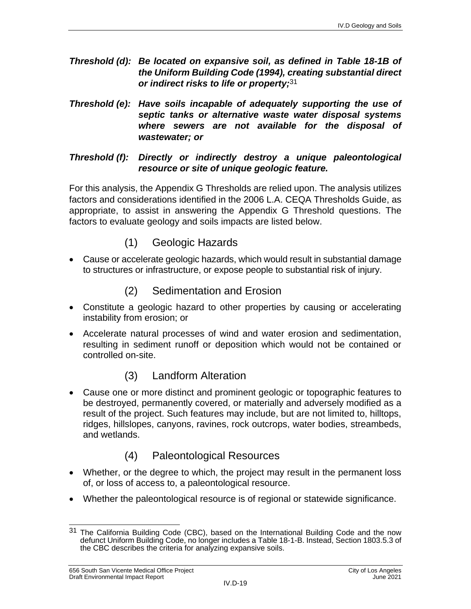- *Threshold (d): Be located on expansive soil, as defined in Table 18-1B of the Uniform Building Code (1994), creating substantial direct or indirect risks to life or property;* 31
- *Threshold (e): Have soils incapable of adequately supporting the use of septic tanks or alternative waste water disposal systems where sewers are not available for the disposal of wastewater; or*

#### *Threshold (f): Directly or indirectly destroy a unique paleontological resource or site of unique geologic feature.*

For this analysis, the Appendix G Thresholds are relied upon. The analysis utilizes factors and considerations identified in the 2006 L.A. CEQA Thresholds Guide, as appropriate, to assist in answering the Appendix G Threshold questions. The factors to evaluate geology and soils impacts are listed below.

- (1) Geologic Hazards
- Cause or accelerate geologic hazards, which would result in substantial damage to structures or infrastructure, or expose people to substantial risk of injury.

## (2) Sedimentation and Erosion

- Constitute a geologic hazard to other properties by causing or accelerating instability from erosion; or
- Accelerate natural processes of wind and water erosion and sedimentation, resulting in sediment runoff or deposition which would not be contained or controlled on-site.

# (3) Landform Alteration

 Cause one or more distinct and prominent geologic or topographic features to be destroyed, permanently covered, or materially and adversely modified as a result of the project. Such features may include, but are not limited to, hilltops, ridges, hillslopes, canyons, ravines, rock outcrops, water bodies, streambeds, and wetlands.

# (4) Paleontological Resources

- Whether, or the degree to which, the project may result in the permanent loss of, or loss of access to, a paleontological resource.
- Whether the paleontological resource is of regional or statewide significance.

 $\overline{\phantom{a}}$ <sup>31</sup> The California Building Code (CBC), based on the International Building Code and the now defunct Uniform Building Code, no longer includes a Table 18-1-B. Instead, Section 1803.5.3 of the CBC describes the criteria for analyzing expansive soils.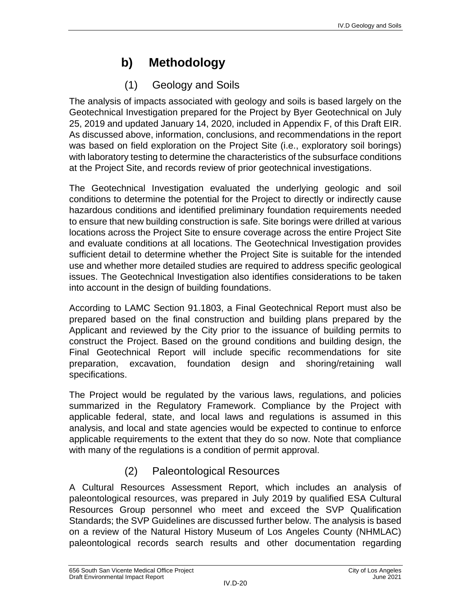# **b) Methodology**

# (1) Geology and Soils

The analysis of impacts associated with geology and soils is based largely on the Geotechnical Investigation prepared for the Project by Byer Geotechnical on July 25, 2019 and updated January 14, 2020, included in Appendix F, of this Draft EIR. As discussed above, information, conclusions, and recommendations in the report was based on field exploration on the Project Site (i.e., exploratory soil borings) with laboratory testing to determine the characteristics of the subsurface conditions at the Project Site, and records review of prior geotechnical investigations.

The Geotechnical Investigation evaluated the underlying geologic and soil conditions to determine the potential for the Project to directly or indirectly cause hazardous conditions and identified preliminary foundation requirements needed to ensure that new building construction is safe. Site borings were drilled at various locations across the Project Site to ensure coverage across the entire Project Site and evaluate conditions at all locations. The Geotechnical Investigation provides sufficient detail to determine whether the Project Site is suitable for the intended use and whether more detailed studies are required to address specific geological issues. The Geotechnical Investigation also identifies considerations to be taken into account in the design of building foundations.

According to LAMC Section 91.1803, a Final Geotechnical Report must also be prepared based on the final construction and building plans prepared by the Applicant and reviewed by the City prior to the issuance of building permits to construct the Project. Based on the ground conditions and building design, the Final Geotechnical Report will include specific recommendations for site preparation, excavation, foundation design and shoring/retaining wall specifications.

The Project would be regulated by the various laws, regulations, and policies summarized in the Regulatory Framework. Compliance by the Project with applicable federal, state, and local laws and regulations is assumed in this analysis, and local and state agencies would be expected to continue to enforce applicable requirements to the extent that they do so now. Note that compliance with many of the regulations is a condition of permit approval.

# (2) Paleontological Resources

A Cultural Resources Assessment Report, which includes an analysis of paleontological resources, was prepared in July 2019 by qualified ESA Cultural Resources Group personnel who meet and exceed the SVP Qualification Standards; the SVP Guidelines are discussed further below. The analysis is based on a review of the Natural History Museum of Los Angeles County (NHMLAC) paleontological records search results and other documentation regarding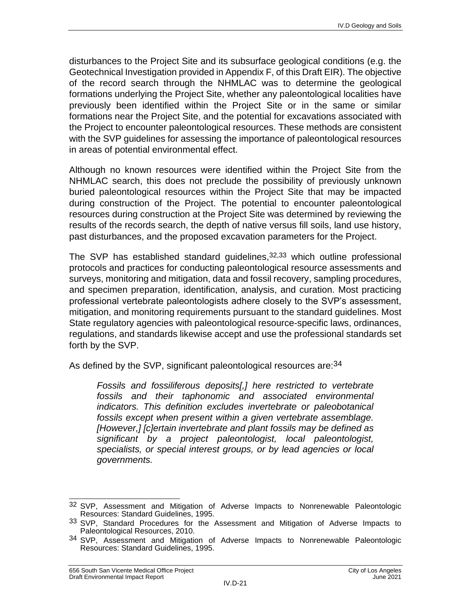disturbances to the Project Site and its subsurface geological conditions (e.g. the Geotechnical Investigation provided in Appendix F, of this Draft EIR). The objective of the record search through the NHMLAC was to determine the geological formations underlying the Project Site, whether any paleontological localities have previously been identified within the Project Site or in the same or similar formations near the Project Site, and the potential for excavations associated with the Project to encounter paleontological resources. These methods are consistent with the SVP guidelines for assessing the importance of paleontological resources in areas of potential environmental effect.

Although no known resources were identified within the Project Site from the NHMLAC search, this does not preclude the possibility of previously unknown buried paleontological resources within the Project Site that may be impacted during construction of the Project. The potential to encounter paleontological resources during construction at the Project Site was determined by reviewing the results of the records search, the depth of native versus fill soils, land use history, past disturbances, and the proposed excavation parameters for the Project.

The SVP has established standard guidelines, 32, 33 which outline professional protocols and practices for conducting paleontological resource assessments and surveys, monitoring and mitigation, data and fossil recovery, sampling procedures, and specimen preparation, identification, analysis, and curation. Most practicing professional vertebrate paleontologists adhere closely to the SVP's assessment, mitigation, and monitoring requirements pursuant to the standard guidelines. Most State regulatory agencies with paleontological resource-specific laws, ordinances, regulations, and standards likewise accept and use the professional standards set forth by the SVP.

As defined by the SVP, significant paleontological resources are: 34

*Fossils and fossiliferous deposits[,] here restricted to vertebrate fossils and their taphonomic and associated environmental indicators. This definition excludes invertebrate or paleobotanical fossils except when present within a given vertebrate assemblage. [However,] [c]ertain invertebrate and plant fossils may be defined as significant by a project paleontologist, local paleontologist, specialists, or special interest groups, or by lead agencies or local governments.*

 $\overline{\phantom{a}}$ 32 SVP, Assessment and Mitigation of Adverse Impacts to Nonrenewable Paleontologic Resources: Standard Guidelines, 1995.

<sup>33</sup> SVP, Standard Procedures for the Assessment and Mitigation of Adverse Impacts to Paleontological Resources, 2010.

<sup>34</sup> SVP, Assessment and Mitigation of Adverse Impacts to Nonrenewable Paleontologic Resources: Standard Guidelines, 1995.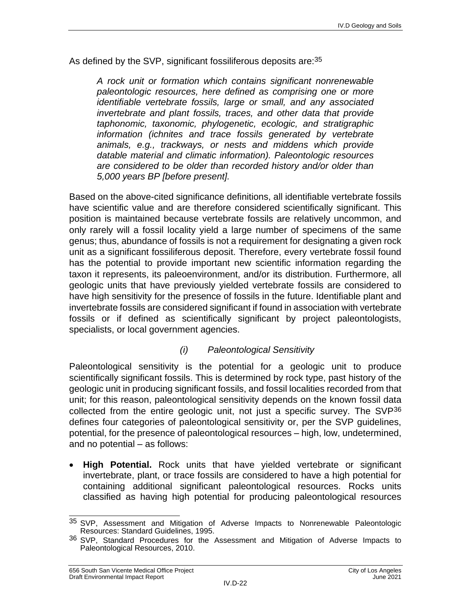As defined by the SVP, significant fossiliferous deposits are: 35

*A rock unit or formation which contains significant nonrenewable paleontologic resources, here defined as comprising one or more identifiable vertebrate fossils, large or small, and any associated invertebrate and plant fossils, traces, and other data that provide taphonomic, taxonomic, phylogenetic, ecologic, and stratigraphic information (ichnites and trace fossils generated by vertebrate animals, e.g., trackways, or nests and middens which provide datable material and climatic information). Paleontologic resources are considered to be older than recorded history and/or older than 5,000 years BP [before present].*

Based on the above-cited significance definitions, all identifiable vertebrate fossils have scientific value and are therefore considered scientifically significant. This position is maintained because vertebrate fossils are relatively uncommon, and only rarely will a fossil locality yield a large number of specimens of the same genus; thus, abundance of fossils is not a requirement for designating a given rock unit as a significant fossiliferous deposit. Therefore, every vertebrate fossil found has the potential to provide important new scientific information regarding the taxon it represents, its paleoenvironment, and/or its distribution. Furthermore, all geologic units that have previously yielded vertebrate fossils are considered to have high sensitivity for the presence of fossils in the future. Identifiable plant and invertebrate fossils are considered significant if found in association with vertebrate fossils or if defined as scientifically significant by project paleontologists, specialists, or local government agencies.

#### *(i) Paleontological Sensitivity*

Paleontological sensitivity is the potential for a geologic unit to produce scientifically significant fossils. This is determined by rock type, past history of the geologic unit in producing significant fossils, and fossil localities recorded from that unit; for this reason, paleontological sensitivity depends on the known fossil data collected from the entire geologic unit, not just a specific survey. The SVP36 defines four categories of paleontological sensitivity or, per the SVP guidelines, potential, for the presence of paleontological resources – high, low, undetermined, and no potential – as follows:

 **High Potential.** Rock units that have yielded vertebrate or significant invertebrate, plant, or trace fossils are considered to have a high potential for containing additional significant paleontological resources. Rocks units classified as having high potential for producing paleontological resources

 $\overline{\phantom{a}}$ <sup>35</sup> SVP, Assessment and Mitigation of Adverse Impacts to Nonrenewable Paleontologic Resources: Standard Guidelines, 1995.

<sup>36</sup> SVP, Standard Procedures for the Assessment and Mitigation of Adverse Impacts to Paleontological Resources, 2010.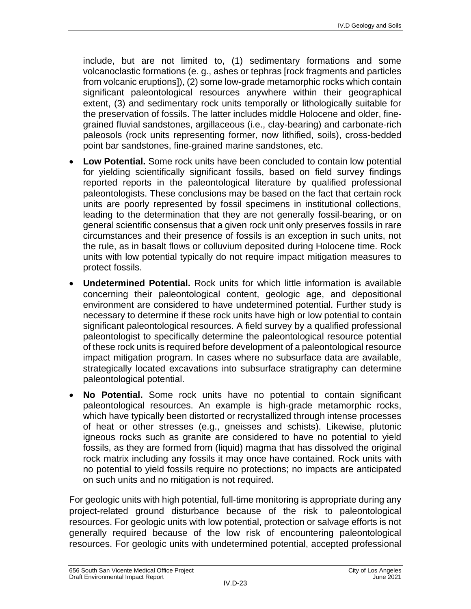include, but are not limited to, (1) sedimentary formations and some volcanoclastic formations (e. g., ashes or tephras [rock fragments and particles from volcanic eruptions]), (2) some low-grade metamorphic rocks which contain significant paleontological resources anywhere within their geographical extent, (3) and sedimentary rock units temporally or lithologically suitable for the preservation of fossils. The latter includes middle Holocene and older, finegrained fluvial sandstones, argillaceous (i.e., clay-bearing) and carbonate-rich paleosols (rock units representing former, now lithified, soils), cross-bedded point bar sandstones, fine-grained marine sandstones, etc.

- **Low Potential.** Some rock units have been concluded to contain low potential for yielding scientifically significant fossils, based on field survey findings reported reports in the paleontological literature by qualified professional paleontologists. These conclusions may be based on the fact that certain rock units are poorly represented by fossil specimens in institutional collections, leading to the determination that they are not generally fossil-bearing, or on general scientific consensus that a given rock unit only preserves fossils in rare circumstances and their presence of fossils is an exception in such units, not the rule, as in basalt flows or colluvium deposited during Holocene time. Rock units with low potential typically do not require impact mitigation measures to protect fossils.
- **Undetermined Potential.** Rock units for which little information is available concerning their paleontological content, geologic age, and depositional environment are considered to have undetermined potential. Further study is necessary to determine if these rock units have high or low potential to contain significant paleontological resources. A field survey by a qualified professional paleontologist to specifically determine the paleontological resource potential of these rock units is required before development of a paleontological resource impact mitigation program. In cases where no subsurface data are available, strategically located excavations into subsurface stratigraphy can determine paleontological potential.
- **No Potential.** Some rock units have no potential to contain significant paleontological resources. An example is high-grade metamorphic rocks, which have typically been distorted or recrystallized through intense processes of heat or other stresses (e.g., gneisses and schists). Likewise, plutonic igneous rocks such as granite are considered to have no potential to yield fossils, as they are formed from (liquid) magma that has dissolved the original rock matrix including any fossils it may once have contained. Rock units with no potential to yield fossils require no protections; no impacts are anticipated on such units and no mitigation is not required.

For geologic units with high potential, full-time monitoring is appropriate during any project-related ground disturbance because of the risk to paleontological resources. For geologic units with low potential, protection or salvage efforts is not generally required because of the low risk of encountering paleontological resources. For geologic units with undetermined potential, accepted professional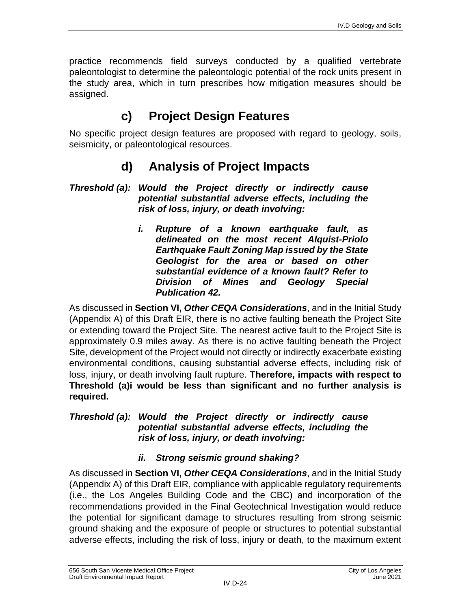practice recommends field surveys conducted by a qualified vertebrate paleontologist to determine the paleontologic potential of the rock units present in the study area, which in turn prescribes how mitigation measures should be assigned.

# **c) Project Design Features**

No specific project design features are proposed with regard to geology, soils, seismicity, or paleontological resources.

# **d) Analysis of Project Impacts**

#### *Threshold (a): Would the Project directly or indirectly cause potential substantial adverse effects, including the risk of loss, injury, or death involving:*

*i. Rupture of a known earthquake fault, as delineated on the most recent Alquist-Priolo Earthquake Fault Zoning Map issued by the State Geologist for the area or based on other substantial evidence of a known fault? Refer to Division of Mines and Geology Special Publication 42.*

As discussed in **Section VI,** *Other CEQA Considerations*, and in the Initial Study (Appendix A) of this Draft EIR, there is no active faulting beneath the Project Site or extending toward the Project Site. The nearest active fault to the Project Site is approximately 0.9 miles away. As there is no active faulting beneath the Project Site, development of the Project would not directly or indirectly exacerbate existing environmental conditions, causing substantial adverse effects, including risk of loss, injury, or death involving fault rupture. **Therefore, impacts with respect to Threshold (a)i would be less than significant and no further analysis is required.**

#### *Threshold (a): Would the Project directly or indirectly cause potential substantial adverse effects, including the risk of loss, injury, or death involving:*

## *ii. Strong seismic ground shaking?*

As discussed in **Section VI,** *Other CEQA Considerations*, and in the Initial Study (Appendix A) of this Draft EIR, compliance with applicable regulatory requirements (i.e., the Los Angeles Building Code and the CBC) and incorporation of the recommendations provided in the Final Geotechnical Investigation would reduce the potential for significant damage to structures resulting from strong seismic ground shaking and the exposure of people or structures to potential substantial adverse effects, including the risk of loss, injury or death, to the maximum extent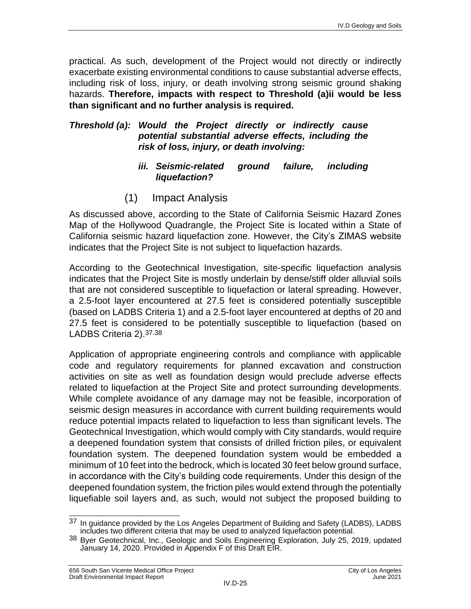practical. As such, development of the Project would not directly or indirectly exacerbate existing environmental conditions to cause substantial adverse effects, including risk of loss, injury, or death involving strong seismic ground shaking hazards. **Therefore, impacts with respect to Threshold (a)ii would be less than significant and no further analysis is required.**

#### *Threshold (a): Would the Project directly or indirectly cause potential substantial adverse effects, including the risk of loss, injury, or death involving:*

#### *iii. Seismic-related ground failure, including liquefaction?*

(1) Impact Analysis

As discussed above, according to the State of California Seismic Hazard Zones Map of the Hollywood Quadrangle, the Project Site is located within a State of California seismic hazard liquefaction zone. However, the City's ZIMAS website indicates that the Project Site is not subject to liquefaction hazards.

According to the Geotechnical Investigation, site-specific liquefaction analysis indicates that the Project Site is mostly underlain by dense/stiff older alluvial soils that are not considered susceptible to liquefaction or lateral spreading. However, a 2.5-foot layer encountered at 27.5 feet is considered potentially susceptible (based on LADBS Criteria 1) and a 2.5-foot layer encountered at depths of 20 and 27.5 feet is considered to be potentially susceptible to liquefaction (based on LADBS Criteria 2).<sup>37,38</sup>

Application of appropriate engineering controls and compliance with applicable code and regulatory requirements for planned excavation and construction activities on site as well as foundation design would preclude adverse effects related to liquefaction at the Project Site and protect surrounding developments. While complete avoidance of any damage may not be feasible, incorporation of seismic design measures in accordance with current building requirements would reduce potential impacts related to liquefaction to less than significant levels. The Geotechnical Investigation, which would comply with City standards, would require a deepened foundation system that consists of drilled friction piles, or equivalent foundation system. The deepened foundation system would be embedded a minimum of 10 feet into the bedrock, which is located 30 feet below ground surface, in accordance with the City's building code requirements. Under this design of the deepened foundation system, the friction piles would extend through the potentially liquefiable soil layers and, as such, would not subject the proposed building to

 $\overline{\phantom{a}}$  $37$  In guidance provided by the Los Angeles Department of Building and Safety (LADBS), LADBS includes two different criteria that may be used to analyzed liquefaction potential.

<sup>38</sup> Byer Geotechnical, Inc., Geologic and Soils Engineering Exploration, July 25, 2019, updated January 14, 2020. Provided in Appendix F of this Draft EIR.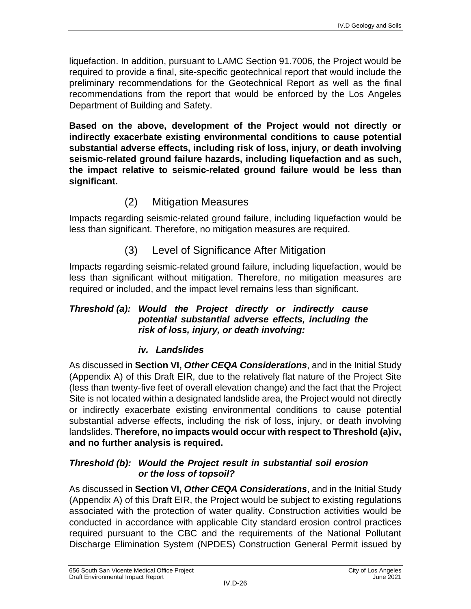liquefaction. In addition, pursuant to LAMC Section 91.7006, the Project would be required to provide a final, site-specific geotechnical report that would include the preliminary recommendations for the Geotechnical Report as well as the final recommendations from the report that would be enforced by the Los Angeles Department of Building and Safety.

**Based on the above, development of the Project would not directly or indirectly exacerbate existing environmental conditions to cause potential substantial adverse effects, including risk of loss, injury, or death involving seismic-related ground failure hazards, including liquefaction and as such, the impact relative to seismic-related ground failure would be less than significant.**

## (2) Mitigation Measures

Impacts regarding seismic-related ground failure, including liquefaction would be less than significant. Therefore, no mitigation measures are required.

## (3) Level of Significance After Mitigation

Impacts regarding seismic-related ground failure, including liquefaction, would be less than significant without mitigation. Therefore, no mitigation measures are required or included, and the impact level remains less than significant.

#### *Threshold (a): Would the Project directly or indirectly cause potential substantial adverse effects, including the risk of loss, injury, or death involving:*

### *iv. Landslides*

As discussed in **Section VI,** *Other CEQA Considerations*, and in the Initial Study (Appendix A) of this Draft EIR, due to the relatively flat nature of the Project Site (less than twenty-five feet of overall elevation change) and the fact that the Project Site is not located within a designated landslide area, the Project would not directly or indirectly exacerbate existing environmental conditions to cause potential substantial adverse effects, including the risk of loss, injury, or death involving landslides. **Therefore, no impacts would occur with respect to Threshold (a)iv, and no further analysis is required.**

#### *Threshold (b): Would the Project result in substantial soil erosion or the loss of topsoil?*

As discussed in **Section VI,** *Other CEQA Considerations*, and in the Initial Study (Appendix A) of this Draft EIR, the Project would be subject to existing regulations associated with the protection of water quality. Construction activities would be conducted in accordance with applicable City standard erosion control practices required pursuant to the CBC and the requirements of the National Pollutant Discharge Elimination System (NPDES) Construction General Permit issued by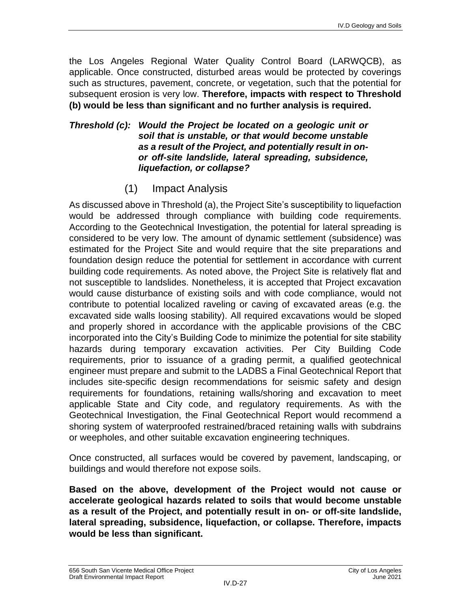the Los Angeles Regional Water Quality Control Board (LARWQCB), as applicable. Once constructed, disturbed areas would be protected by coverings such as structures, pavement, concrete, or vegetation, such that the potential for subsequent erosion is very low. **Therefore, impacts with respect to Threshold (b) would be less than significant and no further analysis is required.**

#### *Threshold (c): Would the Project be located on a geologic unit or soil that is unstable, or that would become unstable as a result of the Project, and potentially result in onor off-site landslide, lateral spreading, subsidence, liquefaction, or collapse?*

(1) Impact Analysis

As discussed above in Threshold (a), the Project Site's susceptibility to liquefaction would be addressed through compliance with building code requirements. According to the Geotechnical Investigation, the potential for lateral spreading is considered to be very low. The amount of dynamic settlement (subsidence) was estimated for the Project Site and would require that the site preparations and foundation design reduce the potential for settlement in accordance with current building code requirements. As noted above, the Project Site is relatively flat and not susceptible to landslides. Nonetheless, it is accepted that Project excavation would cause disturbance of existing soils and with code compliance, would not contribute to potential localized raveling or caving of excavated areas (e.g. the excavated side walls loosing stability). All required excavations would be sloped and properly shored in accordance with the applicable provisions of the CBC incorporated into the City's Building Code to minimize the potential for site stability hazards during temporary excavation activities. Per City Building Code requirements, prior to issuance of a grading permit, a qualified geotechnical engineer must prepare and submit to the LADBS a Final Geotechnical Report that includes site-specific design recommendations for seismic safety and design requirements for foundations, retaining walls/shoring and excavation to meet applicable State and City code, and regulatory requirements. As with the Geotechnical Investigation, the Final Geotechnical Report would recommend a shoring system of waterproofed restrained/braced retaining walls with subdrains or weepholes, and other suitable excavation engineering techniques.

Once constructed, all surfaces would be covered by pavement, landscaping, or buildings and would therefore not expose soils.

**Based on the above, development of the Project would not cause or accelerate geological hazards related to soils that would become unstable as a result of the Project, and potentially result in on- or off-site landslide, lateral spreading, subsidence, liquefaction, or collapse. Therefore, impacts would be less than significant.**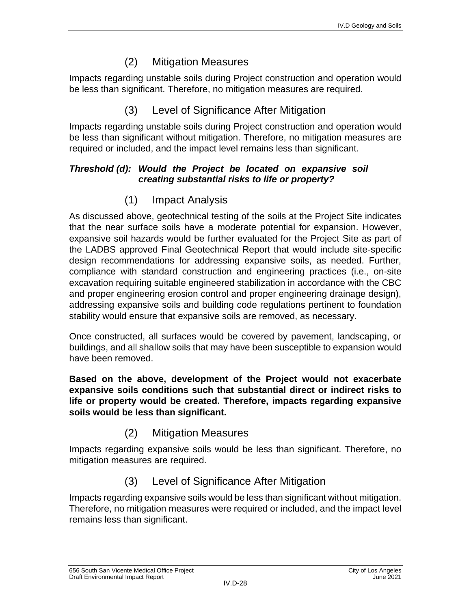## (2) Mitigation Measures

Impacts regarding unstable soils during Project construction and operation would be less than significant. Therefore, no mitigation measures are required.

## (3) Level of Significance After Mitigation

Impacts regarding unstable soils during Project construction and operation would be less than significant without mitigation. Therefore, no mitigation measures are required or included, and the impact level remains less than significant.

#### *Threshold (d): Would the Project be located on expansive soil creating substantial risks to life or property?*

# (1) Impact Analysis

As discussed above, geotechnical testing of the soils at the Project Site indicates that the near surface soils have a moderate potential for expansion. However, expansive soil hazards would be further evaluated for the Project Site as part of the LADBS approved Final Geotechnical Report that would include site-specific design recommendations for addressing expansive soils, as needed. Further, compliance with standard construction and engineering practices (i.e., on-site excavation requiring suitable engineered stabilization in accordance with the CBC and proper engineering erosion control and proper engineering drainage design), addressing expansive soils and building code regulations pertinent to foundation stability would ensure that expansive soils are removed, as necessary.

Once constructed, all surfaces would be covered by pavement, landscaping, or buildings, and all shallow soils that may have been susceptible to expansion would have been removed.

**Based on the above, development of the Project would not exacerbate expansive soils conditions such that substantial direct or indirect risks to life or property would be created. Therefore, impacts regarding expansive soils would be less than significant.**

## (2) Mitigation Measures

Impacts regarding expansive soils would be less than significant. Therefore, no mitigation measures are required.

# (3) Level of Significance After Mitigation

Impacts regarding expansive soils would be less than significant without mitigation. Therefore, no mitigation measures were required or included, and the impact level remains less than significant.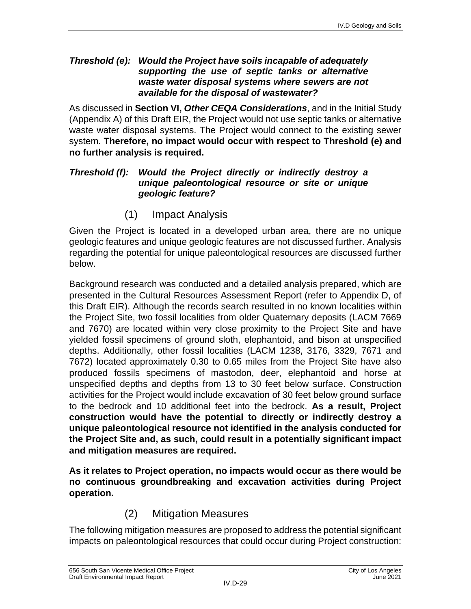#### *Threshold (e): Would the Project have soils incapable of adequately supporting the use of septic tanks or alternative waste water disposal systems where sewers are not available for the disposal of wastewater?*

As discussed in **Section VI,** *Other CEQA Considerations*, and in the Initial Study (Appendix A) of this Draft EIR, the Project would not use septic tanks or alternative waste water disposal systems. The Project would connect to the existing sewer system. **Therefore, no impact would occur with respect to Threshold (e) and no further analysis is required.**

#### *Threshold (f): Would the Project directly or indirectly destroy a unique paleontological resource or site or unique geologic feature?*

(1) Impact Analysis

Given the Project is located in a developed urban area, there are no unique geologic features and unique geologic features are not discussed further. Analysis regarding the potential for unique paleontological resources are discussed further below.

Background research was conducted and a detailed analysis prepared, which are presented in the Cultural Resources Assessment Report (refer to Appendix D, of this Draft EIR). Although the records search resulted in no known localities within the Project Site, two fossil localities from older Quaternary deposits (LACM 7669 and 7670) are located within very close proximity to the Project Site and have yielded fossil specimens of ground sloth, elephantoid, and bison at unspecified depths. Additionally, other fossil localities (LACM 1238, 3176, 3329, 7671 and 7672) located approximately 0.30 to 0.65 miles from the Project Site have also produced fossils specimens of mastodon, deer, elephantoid and horse at unspecified depths and depths from 13 to 30 feet below surface. Construction activities for the Project would include excavation of 30 feet below ground surface to the bedrock and 10 additional feet into the bedrock. **As a result, Project construction would have the potential to directly or indirectly destroy a unique paleontological resource not identified in the analysis conducted for the Project Site and, as such, could result in a potentially significant impact and mitigation measures are required.**

**As it relates to Project operation, no impacts would occur as there would be no continuous groundbreaking and excavation activities during Project operation.**

# (2) Mitigation Measures

The following mitigation measures are proposed to address the potential significant impacts on paleontological resources that could occur during Project construction: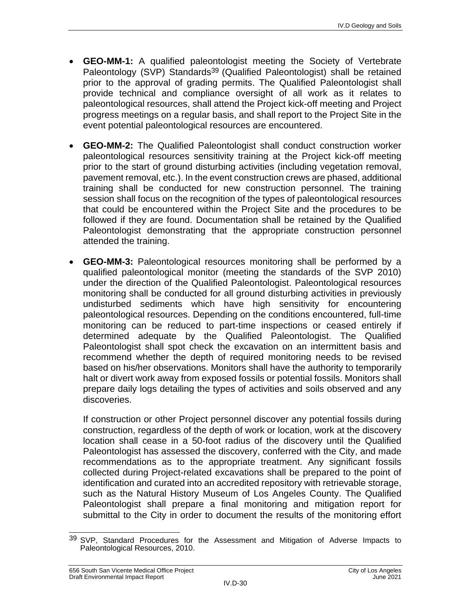- **GEO-MM-1:** A qualified paleontologist meeting the Society of Vertebrate Paleontology (SVP) Standards<sup>39</sup> (Qualified Paleontologist) shall be retained prior to the approval of grading permits. The Qualified Paleontologist shall provide technical and compliance oversight of all work as it relates to paleontological resources, shall attend the Project kick-off meeting and Project progress meetings on a regular basis, and shall report to the Project Site in the event potential paleontological resources are encountered.
- **GEO-MM-2:** The Qualified Paleontologist shall conduct construction worker paleontological resources sensitivity training at the Project kick-off meeting prior to the start of ground disturbing activities (including vegetation removal, pavement removal, etc.). In the event construction crews are phased, additional training shall be conducted for new construction personnel. The training session shall focus on the recognition of the types of paleontological resources that could be encountered within the Project Site and the procedures to be followed if they are found. Documentation shall be retained by the Qualified Paleontologist demonstrating that the appropriate construction personnel attended the training.
- **GEO-MM-3:** Paleontological resources monitoring shall be performed by a qualified paleontological monitor (meeting the standards of the SVP 2010) under the direction of the Qualified Paleontologist. Paleontological resources monitoring shall be conducted for all ground disturbing activities in previously undisturbed sediments which have high sensitivity for encountering paleontological resources. Depending on the conditions encountered, full-time monitoring can be reduced to part-time inspections or ceased entirely if determined adequate by the Qualified Paleontologist. The Qualified Paleontologist shall spot check the excavation on an intermittent basis and recommend whether the depth of required monitoring needs to be revised based on his/her observations. Monitors shall have the authority to temporarily halt or divert work away from exposed fossils or potential fossils. Monitors shall prepare daily logs detailing the types of activities and soils observed and any discoveries.

If construction or other Project personnel discover any potential fossils during construction, regardless of the depth of work or location, work at the discovery location shall cease in a 50-foot radius of the discovery until the Qualified Paleontologist has assessed the discovery, conferred with the City, and made recommendations as to the appropriate treatment. Any significant fossils collected during Project-related excavations shall be prepared to the point of identification and curated into an accredited repository with retrievable storage, such as the Natural History Museum of Los Angeles County. The Qualified Paleontologist shall prepare a final monitoring and mitigation report for submittal to the City in order to document the results of the monitoring effort

 $\overline{\phantom{a}}$ 39 SVP, Standard Procedures for the Assessment and Mitigation of Adverse Impacts to Paleontological Resources, 2010.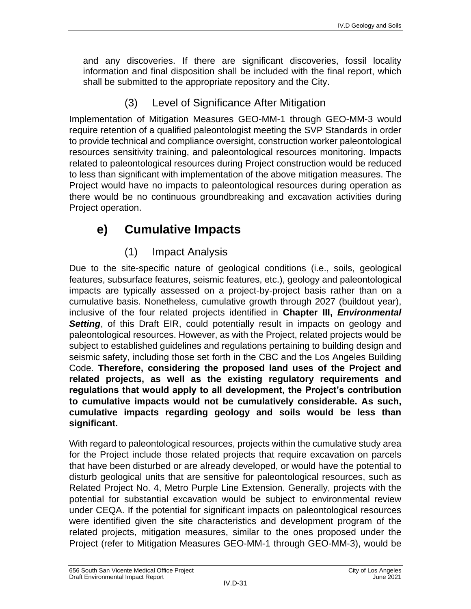and any discoveries. If there are significant discoveries, fossil locality information and final disposition shall be included with the final report, which shall be submitted to the appropriate repository and the City.

(3) Level of Significance After Mitigation

Implementation of Mitigation Measures GEO-MM-1 through GEO-MM-3 would require retention of a qualified paleontologist meeting the SVP Standards in order to provide technical and compliance oversight, construction worker paleontological resources sensitivity training, and paleontological resources monitoring. Impacts related to paleontological resources during Project construction would be reduced to less than significant with implementation of the above mitigation measures. The Project would have no impacts to paleontological resources during operation as there would be no continuous groundbreaking and excavation activities during Project operation.

# **e) Cumulative Impacts**

(1) Impact Analysis

Due to the site-specific nature of geological conditions (i.e., soils, geological features, subsurface features, seismic features, etc.), geology and paleontological impacts are typically assessed on a project-by-project basis rather than on a cumulative basis. Nonetheless, cumulative growth through 2027 (buildout year), inclusive of the four related projects identified in **Chapter III,** *Environmental*  **Setting**, of this Draft EIR, could potentially result in impacts on geology and paleontological resources. However, as with the Project, related projects would be subject to established guidelines and regulations pertaining to building design and seismic safety, including those set forth in the CBC and the Los Angeles Building Code. **Therefore, considering the proposed land uses of the Project and related projects, as well as the existing regulatory requirements and regulations that would apply to all development, the Project's contribution to cumulative impacts would not be cumulatively considerable. As such, cumulative impacts regarding geology and soils would be less than significant.**

With regard to paleontological resources, projects within the cumulative study area for the Project include those related projects that require excavation on parcels that have been disturbed or are already developed, or would have the potential to disturb geological units that are sensitive for paleontological resources, such as Related Project No. 4, Metro Purple Line Extension. Generally, projects with the potential for substantial excavation would be subject to environmental review under CEQA. If the potential for significant impacts on paleontological resources were identified given the site characteristics and development program of the related projects, mitigation measures, similar to the ones proposed under the Project (refer to Mitigation Measures GEO-MM-1 through GEO-MM-3), would be